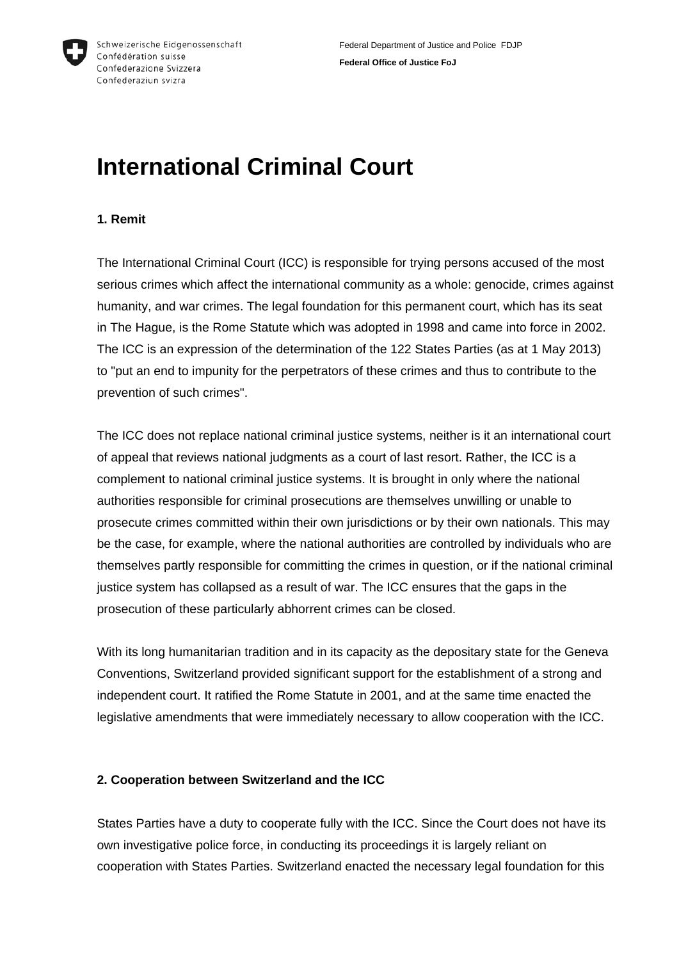

#### **1. Remit**

The International Criminal Court (ICC) is responsible for trying persons accused of the most serious crimes which affect the international community as a whole: genocide, crimes against humanity, and war crimes. The legal foundation for this permanent court, which has its seat in The Hague, is the Rome Statute which was adopted in 1998 and came into force in 2002. The ICC is an expression of the determination of the 122 States Parties (as at 1 May 2013) to "put an end to impunity for the perpetrators of these crimes and thus to contribute to the prevention of such crimes".

The ICC does not replace national criminal justice systems, neither is it an international court of appeal that reviews national judgments as a court of last resort. Rather, the ICC is a complement to national criminal justice systems. It is brought in only where the national authorities responsible for criminal prosecutions are themselves unwilling or unable to prosecute crimes committed within their own jurisdictions or by their own nationals. This may be the case, for example, where the national authorities are controlled by individuals who are themselves partly responsible for committing the crimes in question, or if the national criminal justice system has collapsed as a result of war. The ICC ensures that the gaps in the prosecution of these particularly abhorrent crimes can be closed.

With its long humanitarian tradition and in its capacity as the depositary state for the Geneva Conventions, Switzerland provided significant support for the establishment of a strong and independent court. It ratified the Rome Statute in 2001, and at the same time enacted the legislative amendments that were immediately necessary to allow cooperation with the ICC.

#### **2. Cooperation between Switzerland and the ICC**

States Parties have a duty to cooperate fully with the ICC. Since the Court does not have its own investigative police force, in conducting its proceedings it is largely reliant on cooperation with States Parties. Switzerland enacted the necessary legal foundation for this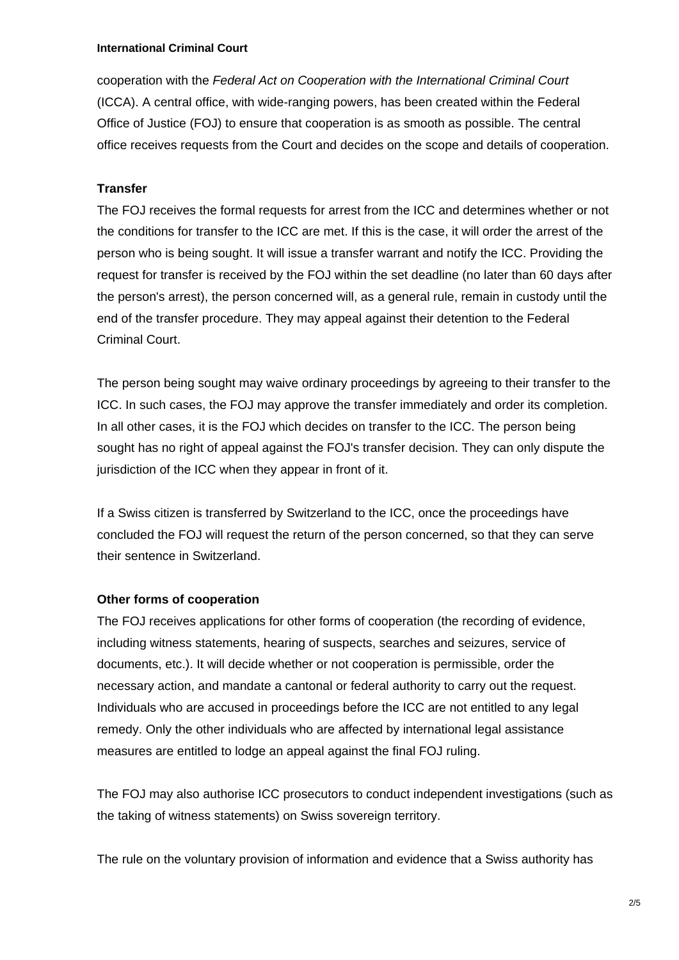cooperation with the *Federal Act on Cooperation with the International Criminal Court* (ICCA). A central office, with wide-ranging powers, has been created within the Federal Office of Justice (FOJ) to ensure that cooperation is as smooth as possible. The central office receives requests from the Court and decides on the scope and details of cooperation.

## **Transfer**

The FOJ receives the formal requests for arrest from the ICC and determines whether or not the conditions for transfer to the ICC are met. If this is the case, it will order the arrest of the person who is being sought. It will issue a transfer warrant and notify the ICC. Providing the request for transfer is received by the FOJ within the set deadline (no later than 60 days after the person's arrest), the person concerned will, as a general rule, remain in custody until the end of the transfer procedure. They may appeal against their detention to the Federal Criminal Court.

The person being sought may waive ordinary proceedings by agreeing to their transfer to the ICC. In such cases, the FOJ may approve the transfer immediately and order its completion. In all other cases, it is the FOJ which decides on transfer to the ICC. The person being sought has no right of appeal against the FOJ's transfer decision. They can only dispute the jurisdiction of the ICC when they appear in front of it.

If a Swiss citizen is transferred by Switzerland to the ICC, once the proceedings have concluded the FOJ will request the return of the person concerned, so that they can serve their sentence in Switzerland.

### **Other forms of cooperation**

The FOJ receives applications for other forms of cooperation (the recording of evidence, including witness statements, hearing of suspects, searches and seizures, service of documents, etc.). It will decide whether or not cooperation is permissible, order the necessary action, and mandate a cantonal or federal authority to carry out the request. Individuals who are accused in proceedings before the ICC are not entitled to any legal remedy. Only the other individuals who are affected by international legal assistance measures are entitled to lodge an appeal against the final FOJ ruling.

The FOJ may also authorise ICC prosecutors to conduct independent investigations (such as the taking of witness statements) on Swiss sovereign territory.

The rule on the voluntary provision of information and evidence that a Swiss authority has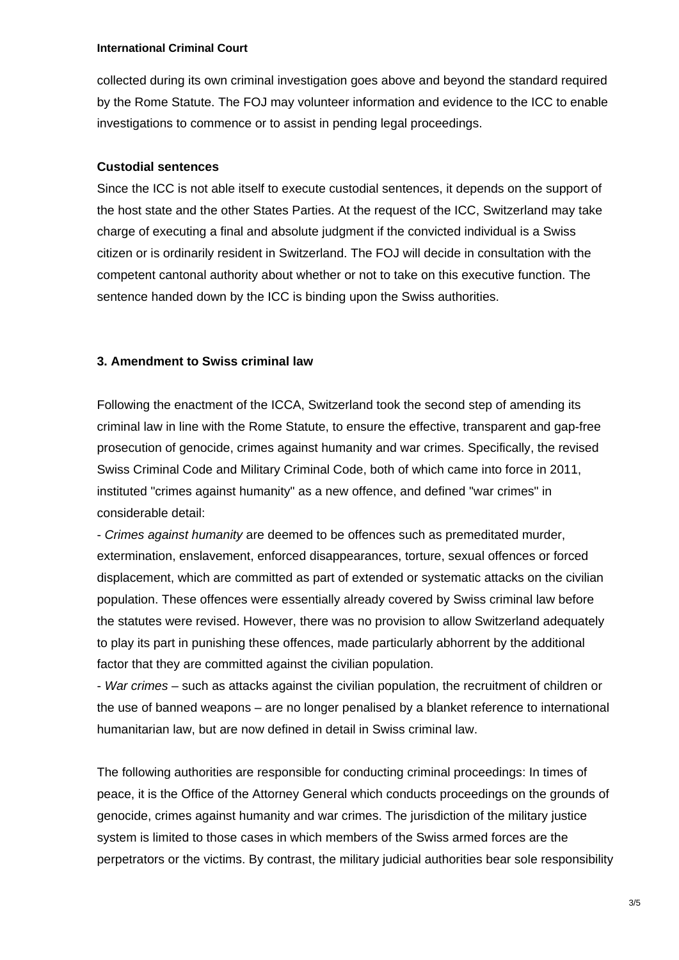collected during its own criminal investigation goes above and beyond the standard required by the Rome Statute. The FOJ may volunteer information and evidence to the ICC to enable investigations to commence or to assist in pending legal proceedings.

## **Custodial sentences**

Since the ICC is not able itself to execute custodial sentences, it depends on the support of the host state and the other States Parties. At the request of the ICC, Switzerland may take charge of executing a final and absolute judgment if the convicted individual is a Swiss citizen or is ordinarily resident in Switzerland. The FOJ will decide in consultation with the competent cantonal authority about whether or not to take on this executive function. The sentence handed down by the ICC is binding upon the Swiss authorities.

## **3. Amendment to Swiss criminal law**

Following the enactment of the ICCA, Switzerland took the second step of amending its criminal law in line with the Rome Statute, to ensure the effective, transparent and gap-free prosecution of genocide, crimes against humanity and war crimes. Specifically, the revised Swiss Criminal Code and Military Criminal Code, both of which came into force in 2011, instituted "crimes against humanity" as a new offence, and defined "war crimes" in considerable detail:

- *Crimes against humanity* are deemed to be offences such as premeditated murder, extermination, enslavement, enforced disappearances, torture, sexual offences or forced displacement, which are committed as part of extended or systematic attacks on the civilian population. These offences were essentially already covered by Swiss criminal law before the statutes were revised. However, there was no provision to allow Switzerland adequately to play its part in punishing these offences, made particularly abhorrent by the additional factor that they are committed against the civilian population.

- *War crimes* – such as attacks against the civilian population, the recruitment of children or the use of banned weapons – are no longer penalised by a blanket reference to international humanitarian law, but are now defined in detail in Swiss criminal law.

The following authorities are responsible for conducting criminal proceedings: In times of peace, it is the Office of the Attorney General which conducts proceedings on the grounds of genocide, crimes against humanity and war crimes. The jurisdiction of the military justice system is limited to those cases in which members of the Swiss armed forces are the perpetrators or the victims. By contrast, the military judicial authorities bear sole responsibility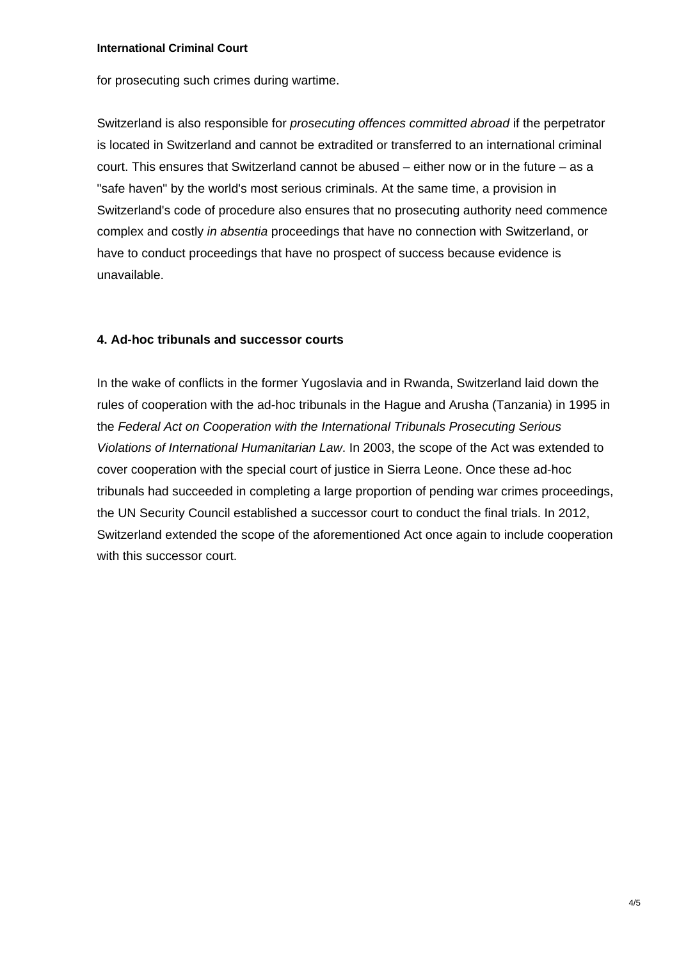for prosecuting such crimes during wartime.

Switzerland is also responsible for *prosecuting offences committed abroad* if the perpetrator is located in Switzerland and cannot be extradited or transferred to an international criminal court. This ensures that Switzerland cannot be abused – either now or in the future – as a "safe haven" by the world's most serious criminals. At the same time, a provision in Switzerland's code of procedure also ensures that no prosecuting authority need commence complex and costly *in absentia* proceedings that have no connection with Switzerland, or have to conduct proceedings that have no prospect of success because evidence is unavailable.

#### **4. Ad-hoc tribunals and successor courts**

In the wake of conflicts in the former Yugoslavia and in Rwanda, Switzerland laid down the rules of cooperation with the ad-hoc tribunals in the Hague and Arusha (Tanzania) in 1995 in the *Federal Act on Cooperation with the International Tribunals Prosecuting Serious Violations of International Humanitarian Law*. In 2003, the scope of the Act was extended to cover cooperation with the special court of justice in Sierra Leone. Once these ad-hoc tribunals had succeeded in completing a large proportion of pending war crimes proceedings, the UN Security Council established a successor court to conduct the final trials. In 2012, Switzerland extended the scope of the aforementioned Act once again to include cooperation with this successor court.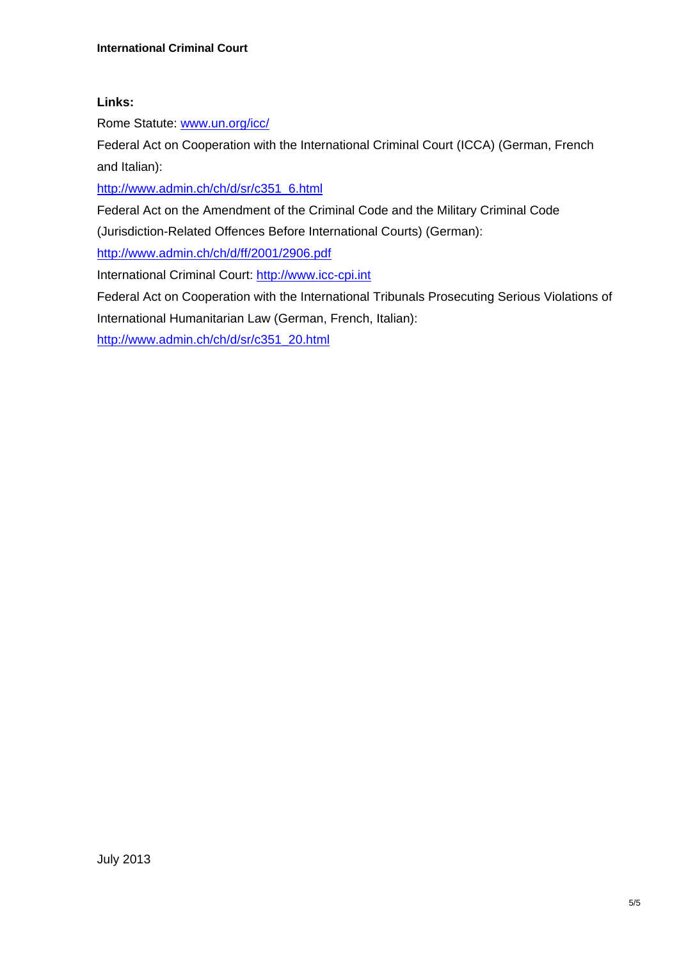## **Links:**

Rome Statute: www.un.org/icc/

Federal Act on Cooperation with the International Criminal Court (ICCA) (German, French and Italian):

http://www.admin.ch/ch/d/sr/c351\_6.html

Federal Act on the Amendment of the Criminal Code and the Military Criminal Code

(Jurisdiction-Related Offences Before International Courts) (German):

http://www.admin.ch/ch/d/ff/2001/2906.pdf

International Criminal Court: http://www.icc-cpi.int

Federal Act on Cooperation with the International Tribunals Prosecuting Serious Violations of International Humanitarian Law (German, French, Italian):

http://www.admin.ch/ch/d/sr/c351\_20.html